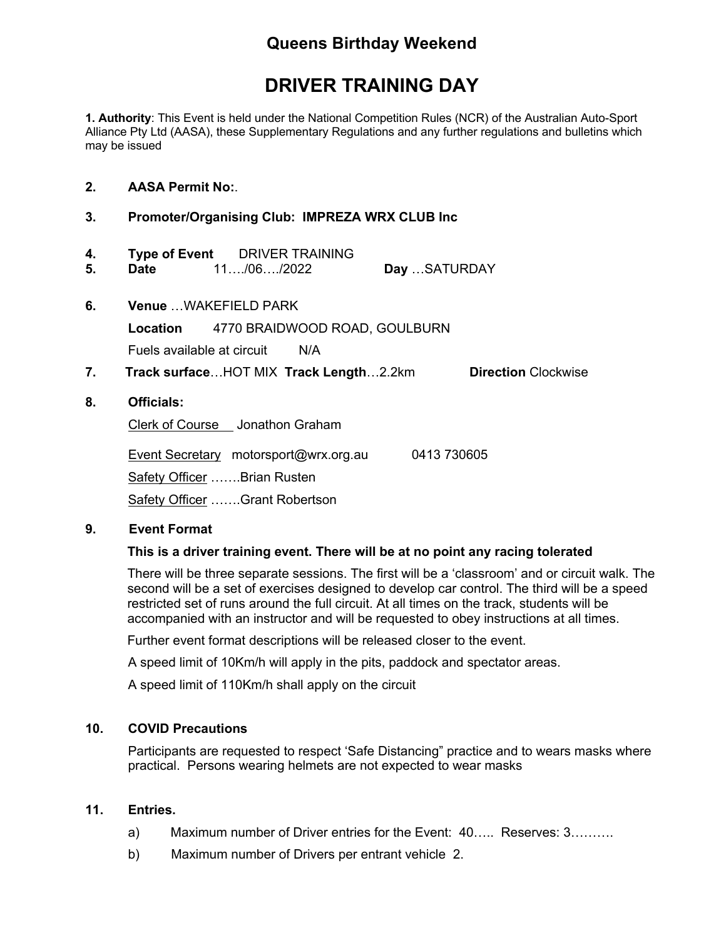# **Queens Birthday Weekend**

# **DRIVER TRAINING DAY**

**1. Authority**: This Event is held under the National Competition Rules (NCR) of the Australian Auto-Sport Alliance Pty Ltd (AASA), these Supplementary Regulations and any further regulations and bulletins which may be issued

#### **2. AASA Permit No:**.

## **3. Promoter/Organising Club: IMPREZA WRX CLUB Inc**

- **4. Type of Event** DRIVER TRAINING **5. Date** 11…./06…./2022 **Day** …SATURDAY
- **6. Venue** …WAKEFIELD PARK **Location** 4770 BRAIDWOOD ROAD, GOULBURN Fuels available at circuit N/A
- **7. Track surface**…HOT MIX **Track Length**…2.2km **Direction** Clockwise

## **8. Officials:**

Clerk of Course Jonathon Graham

 Event Secretary motorsport@wrx.org.au 0413 730605 Safety Officer …….Brian Rusten Safety Officer …….Grant Robertson

#### **9. Event Format**

# **This is a driver training event. There will be at no point any racing tolerated**

There will be three separate sessions. The first will be a 'classroom' and or circuit walk. The second will be a set of exercises designed to develop car control. The third will be a speed restricted set of runs around the full circuit. At all times on the track, students will be accompanied with an instructor and will be requested to obey instructions at all times.

Further event format descriptions will be released closer to the event.

A speed limit of 10Km/h will apply in the pits, paddock and spectator areas.

A speed limit of 110Km/h shall apply on the circuit

# **10. COVID Precautions**

Participants are requested to respect 'Safe Distancing" practice and to wears masks where practical. Persons wearing helmets are not expected to wear masks

#### **11. Entries.**

- a) Maximum number of Driver entries for the Event: 40….. Reserves: 3……….
- b) Maximum number of Drivers per entrant vehicle 2.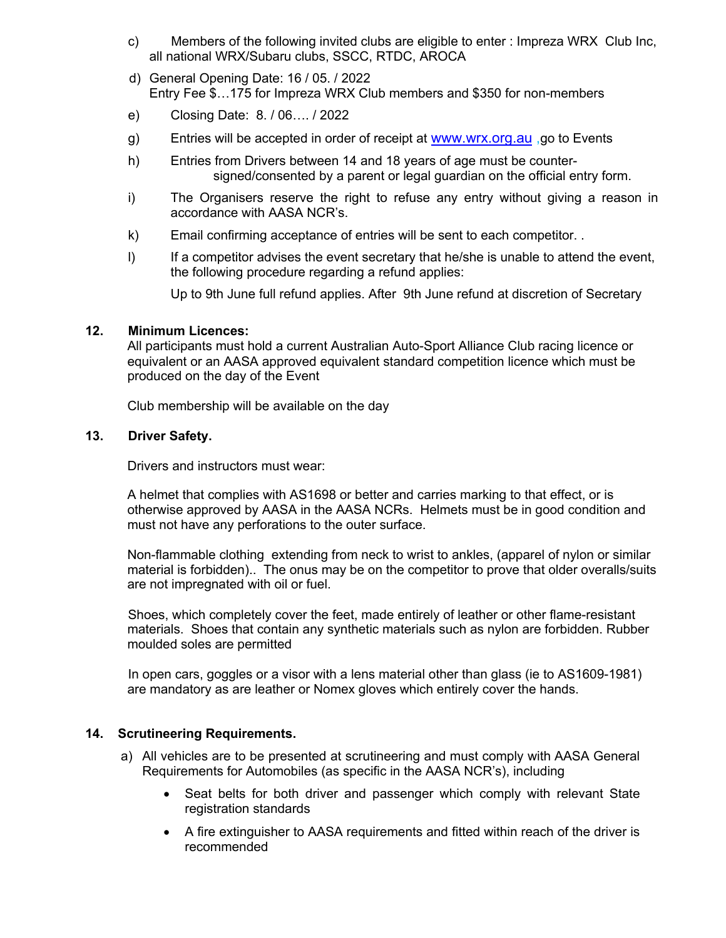- c) Members of the following invited clubs are eligible to enter : Impreza WRX Club Inc, all national WRX/Subaru clubs, SSCC, RTDC, AROCA
- d) General Opening Date: 16 / 05. / 2022 Entry Fee \$…175 for Impreza WRX Club members and \$350 for non-members
- e) Closing Date: 8. / 06…. / 2022
- g) Entries will be accepted in order of receipt at www.wrx.org.au, go to Events
- h) Entries from Drivers between 14 and 18 years of age must be countersigned/consented by a parent or legal guardian on the official entry form.
- i) The Organisers reserve the right to refuse any entry without giving a reason in accordance with AASA NCR's.
- k) Email confirming acceptance of entries will be sent to each competitor. .
- I) If a competitor advises the event secretary that he/she is unable to attend the event, the following procedure regarding a refund applies:

Up to 9th June full refund applies. After 9th June refund at discretion of Secretary

## **12. Minimum Licences:**

All participants must hold a current Australian Auto-Sport Alliance Club racing licence or equivalent or an AASA approved equivalent standard competition licence which must be produced on the day of the Event

Club membership will be available on the day

## **13. Driver Safety.**

Drivers and instructors must wear:

A helmet that complies with AS1698 or better and carries marking to that effect, or is otherwise approved by AASA in the AASA NCRs. Helmets must be in good condition and must not have any perforations to the outer surface.

Non-flammable clothing extending from neck to wrist to ankles, (apparel of nylon or similar material is forbidden).. The onus may be on the competitor to prove that older overalls/suits are not impregnated with oil or fuel.

Shoes, which completely cover the feet, made entirely of leather or other flame-resistant materials. Shoes that contain any synthetic materials such as nylon are forbidden. Rubber moulded soles are permitted

In open cars, goggles or a visor with a lens material other than glass (ie to AS1609-1981) are mandatory as are leather or Nomex gloves which entirely cover the hands.

# **14. Scrutineering Requirements.**

- a) All vehicles are to be presented at scrutineering and must comply with AASA General Requirements for Automobiles (as specific in the AASA NCR's), including
	- Seat belts for both driver and passenger which comply with relevant State registration standards
	- A fire extinguisher to AASA requirements and fitted within reach of the driver is recommended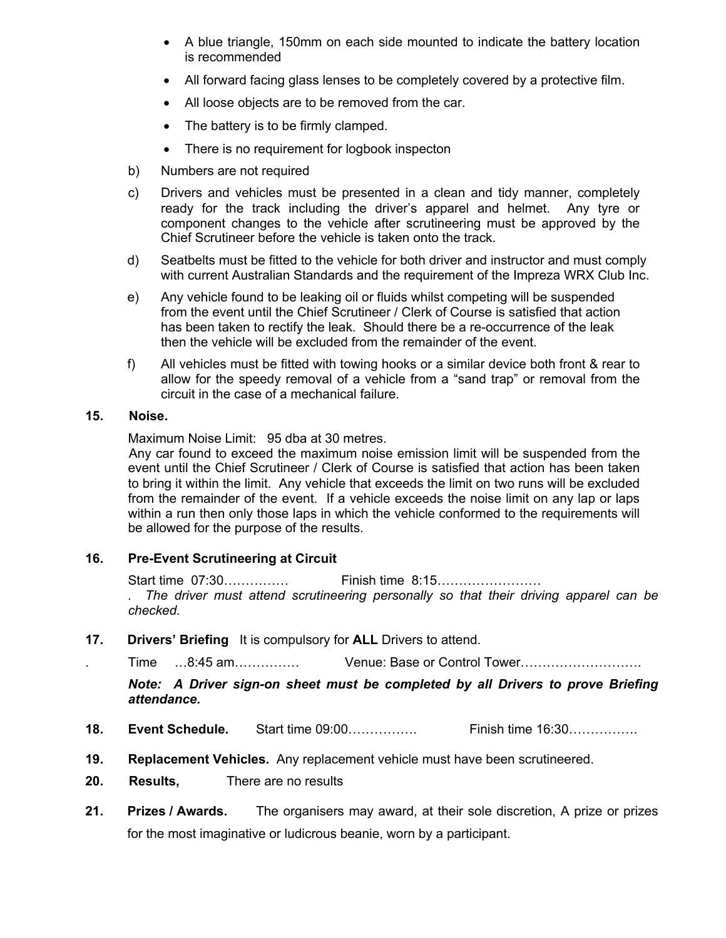- A blue triangle, 150mm on each side mounted to indicate the battery location is recommended
- All forward facing glass lenses to be completely covered by a protective film.
- All loose objects are to be removed from the car.
- The battery is to be firmly clamped.
- There is no requirement for logbook inspecton
- b) Numbers are not required
- c) Drivers and vehicles must be presented in a clean and tidy manner, completely ready for the track including the driver's apparel and helmet. Any tyre or component changes to the vehicle after scrutineering must be approved by the Chief Scrutineer before the vehicle is taken onto the track.
- d) Seatbelts must be fitted to the vehicle for both driver and instructor and must comply with current Australian Standards and the requirement of the Impreza WRX Club Inc.
- e) Any vehicle found to be leaking oil or fluids whilst competing will be suspended from the event until the Chief Scrutineer / Clerk of Course is satisfied that action has been taken to rectify the leak. Should there be a re-occurrence of the leak then the vehicle will be excluded from the remainder of the event.
- f) All vehicles must be fitted with towing hooks or a similar device both front & rear to allow for the speedy removal of a vehicle from a "sand trap" or removal from the circuit in the case of a mechanical failure.

# **15. Noise.**

Maximum Noise Limit: 95 dba at 30 metres.

Any car found to exceed the maximum noise emission limit will be suspended from the event until the Chief Scrutineer / Clerk of Course is satisfied that action has been taken to bring it within the limit. Any vehicle that exceeds the limit on two runs will be excluded from the remainder of the event. If a vehicle exceeds the noise limit on any lap or laps within a run then only those laps in which the vehicle conformed to the requirements will be allowed for the purpose of the results.

# **16. Pre-Event Scrutineering at Circuit**

Start time 07:30…………… Finish time 8:15……………………

*. The driver must attend scrutineering personally so that their driving apparel can be checked.*

**17. Drivers' Briefing** It is compulsory for **ALL** Drivers to attend.

. Time …8:45 am…………… Venue: Base or Control Tower……………………….

*Note: A Driver sign-on sheet must be completed by all Drivers to prove Briefing attendance.* 

- **18. Event Schedule.** Start time 09:00……………. Finish time 16:30…………….
- **19. Replacement Vehicles.** Any replacement vehicle must have been scrutineered.
- **20. Results,** There are no results
- **21. Prizes / Awards.** The organisers may award, at their sole discretion, A prize or prizes for the most imaginative or ludicrous beanie, worn by a participant.